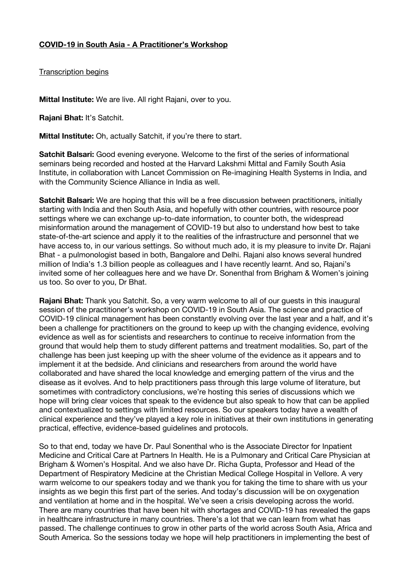Transcription begins

**Mittal Institute:** We are live. All right Rajani, over to you.

**Rajani Bhat:** It's Satchit.

**Mittal Institute:** Oh, actually Satchit, if you're there to start.

**Satchit Balsari:** Good evening everyone. Welcome to the first of the series of informational seminars being recorded and hosted at the Harvard Lakshmi Mittal and Family South Asia Institute, in collaboration with Lancet Commission on Re-imagining Health Systems in India, and with the Community Science Alliance in India as well.

**Satchit Balsari:** We are hoping that this will be a free discussion between practitioners, initially starting with India and then South Asia, and hopefully with other countries, with resource poor settings where we can exchange up-to-date information, to counter both, the widespread misinformation around the management of COVID-19 but also to understand how best to take state-of-the-art science and apply it to the realities of the infrastructure and personnel that we have access to, in our various settings. So without much ado, it is my pleasure to invite Dr. Rajani Bhat - a pulmonologist based in both, Bangalore and Delhi. Rajani also knows several hundred million of India's 1.3 billion people as colleagues and I have recently learnt. And so, Rajani's invited some of her colleagues here and we have Dr. Sonenthal from Brigham & Women's joining us too. So over to you, Dr Bhat.

**Rajani Bhat:** Thank you Satchit. So, a very warm welcome to all of our guests in this inaugural session of the practitioner's workshop on COVID-19 in South Asia. The science and practice of COVID-19 clinical management has been constantly evolving over the last year and a half, and it's been a challenge for practitioners on the ground to keep up with the changing evidence, evolving evidence as well as for scientists and researchers to continue to receive information from the ground that would help them to study different patterns and treatment modalities. So, part of the challenge has been just keeping up with the sheer volume of the evidence as it appears and to implement it at the bedside. And clinicians and researchers from around the world have collaborated and have shared the local knowledge and emerging pattern of the virus and the disease as it evolves. And to help practitioners pass through this large volume of literature, but sometimes with contradictory conclusions, we're hosting this series of discussions which we hope will bring clear voices that speak to the evidence but also speak to how that can be applied and contextualized to settings with limited resources. So our speakers today have a wealth of clinical experience and they've played a key role in initiatives at their own institutions in generating practical, effective, evidence-based guidelines and protocols.

So to that end, today we have Dr. Paul Sonenthal who is the Associate Director for Inpatient Medicine and Critical Care at Partners In Health. He is a Pulmonary and Critical Care Physician at Brigham & Women's Hospital. And we also have Dr. Richa Gupta, Professor and Head of the Department of Respiratory Medicine at the Christian Medical College Hospital in Vellore. A very warm welcome to our speakers today and we thank you for taking the time to share with us your insights as we begin this first part of the series. And today's discussion will be on oxygenation and ventilation at home and in the hospital. We've seen a crisis developing across the world. There are many countries that have been hit with shortages and COVID-19 has revealed the gaps in healthcare infrastructure in many countries. There's a lot that we can learn from what has passed. The challenge continues to grow in other parts of the world across South Asia, Africa and South America. So the sessions today we hope will help practitioners in implementing the best of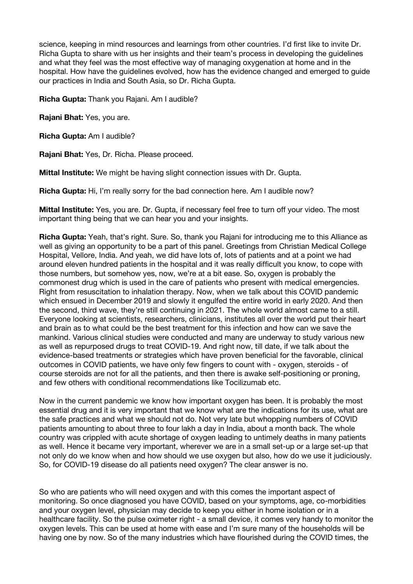science, keeping in mind resources and learnings from other countries. I'd first like to invite Dr. Richa Gupta to share with us her insights and their team's process in developing the guidelines and what they feel was the most effective way of managing oxygenation at home and in the hospital. How have the guidelines evolved, how has the evidence changed and emerged to guide our practices in India and South Asia, so Dr. Richa Gupta.

**Richa Gupta:** Thank you Rajani. Am I audible?

**Rajani Bhat:** Yes, you are.

**Richa Gupta:** Am I audible?

**Rajani Bhat:** Yes, Dr. Richa. Please proceed.

**Mittal Institute:** We might be having slight connection issues with Dr. Gupta.

**Richa Gupta:** Hi, I'm really sorry for the bad connection here. Am I audible now?

**Mittal Institute:** Yes, you are. Dr. Gupta, if necessary feel free to turn off your video. The most important thing being that we can hear you and your insights.

**Richa Gupta:** Yeah, that's right. Sure. So, thank you Rajani for introducing me to this Alliance as well as giving an opportunity to be a part of this panel. Greetings from Christian Medical College Hospital, Vellore, India. And yeah, we did have lots of, lots of patients and at a point we had around eleven hundred patients in the hospital and it was really difficult you know, to cope with those numbers, but somehow yes, now, we're at a bit ease. So, oxygen is probably the commonest drug which is used in the care of patients who present with medical emergencies. Right from resuscitation to inhalation therapy. Now, when we talk about this COVID pandemic which ensued in December 2019 and slowly it engulfed the entire world in early 2020. And then the second, third wave, they're still continuing in 2021. The whole world almost came to a still. Everyone looking at scientists, researchers, clinicians, institutes all over the world put their heart and brain as to what could be the best treatment for this infection and how can we save the mankind. Various clinical studies were conducted and many are underway to study various new as well as repurposed drugs to treat COVID-19. And right now, till date, if we talk about the evidence-based treatments or strategies which have proven beneficial for the favorable, clinical outcomes in COVID patients, we have only few fingers to count with - oxygen, steroids - of course steroids are not for all the patients, and then there is awake self-positioning or proning, and few others with conditional recommendations like Tocilizumab etc.

Now in the current pandemic we know how important oxygen has been. It is probably the most essential drug and it is very important that we know what are the indications for its use, what are the safe practices and what we should not do. Not very late but whopping numbers of COVID patients amounting to about three to four lakh a day in India, about a month back. The whole country was crippled with acute shortage of oxygen leading to untimely deaths in many patients as well. Hence it became very important, wherever we are in a small set-up or a large set-up that not only do we know when and how should we use oxygen but also, how do we use it judiciously. So, for COVID-19 disease do all patients need oxygen? The clear answer is no.

So who are patients who will need oxygen and with this comes the important aspect of monitoring. So once diagnosed you have COVID, based on your symptoms, age, co-morbidities and your oxygen level, physician may decide to keep you either in home isolation or in a healthcare facility. So the pulse oximeter right - a small device, it comes very handy to monitor the oxygen levels. This can be used at home with ease and I'm sure many of the households will be having one by now. So of the many industries which have flourished during the COVID times, the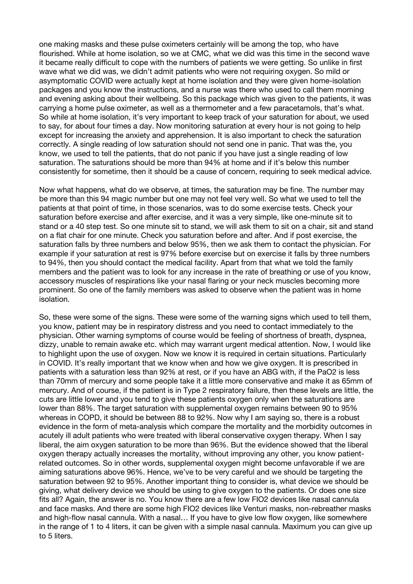one making masks and these pulse oximeters certainly will be among the top, who have flourished. While at home isolation, so we at CMC, what we did was this time in the second wave it became really difficult to cope with the numbers of patients we were getting. So unlike in first wave what we did was, we didn't admit patients who were not requiring oxygen. So mild or asymptomatic COVID were actually kept at home isolation and they were given home-isolation packages and you know the instructions, and a nurse was there who used to call them morning and evening asking about their wellbeing. So this package which was given to the patients, it was carrying a home pulse oximeter, as well as a thermometer and a few paracetamols, that's what. So while at home isolation, it's very important to keep track of your saturation for about, we used to say, for about four times a day. Now monitoring saturation at every hour is not going to help except for increasing the anxiety and apprehension. It is also important to check the saturation correctly. A single reading of low saturation should not send one in panic. That was the, you know, we used to tell the patients, that do not panic if you have just a single reading of low saturation. The saturations should be more than 94% at home and if it's below this number consistently for sometime, then it should be a cause of concern, requiring to seek medical advice.

Now what happens, what do we observe, at times, the saturation may be fine. The number may be more than this 94 magic number but one may not feel very well. So what we used to tell the patients at that point of time, in those scenarios, was to do some exercise tests. Check your saturation before exercise and after exercise, and it was a very simple, like one-minute sit to stand or a 40 step test. So one minute sit to stand, we will ask them to sit on a chair, sit and stand on a flat chair for one minute. Check you saturation before and after. And if post exercise, the saturation falls by three numbers and below 95%, then we ask them to contact the physician. For example if your saturation at rest is 97% before exercise but on exercise it falls by three numbers to 94%, then you should contact the medical facility. Apart from that what we told the family members and the patient was to look for any increase in the rate of breathing or use of you know, accessory muscles of respirations like your nasal flaring or your neck muscles becoming more prominent. So one of the family members was asked to observe when the patient was in home isolation.

So, these were some of the signs. These were some of the warning signs which used to tell them, you know, patient may be in respiratory distress and you need to contact immediately to the physician. Other warning symptoms of course would be feeling of shortness of breath, dyspnea, dizzy, unable to remain awake etc. which may warrant urgent medical attention. Now, I would like to highlight upon the use of oxygen. Now we know it is required in certain situations. Particularly in COVID. It's really important that we know when and how we give oxygen. It is prescribed in patients with a saturation less than 92% at rest, or if you have an ABG with, if the PaO2 is less than 70mm of mercury and some people take it a little more conservative and make it as 65mm of mercury. And of course, if the patient is in Type 2 respiratory failure, then these levels are little, the cuts are little lower and you tend to give these patients oxygen only when the saturations are lower than 88%. The target saturation with supplemental oxygen remains between 90 to 95% whereas in COPD, it should be between 88 to 92%. Now why I am saying so, there is a robust evidence in the form of meta-analysis which compare the mortality and the morbidity outcomes in acutely ill adult patients who were treated with liberal conservative oxygen therapy. When I say liberal, the aim oxygen saturation to be more than 96%. But the evidence showed that the liberal oxygen therapy actually increases the mortality, without improving any other, you know patientrelated outcomes. So in other words, supplemental oxygen might become unfavorable if we are aiming saturations above 96%. Hence, we've to be very careful and we should be targeting the saturation between 92 to 95%. Another important thing to consider is, what device we should be giving, what delivery device we should be using to give oxygen to the patients. Or does one size fits all? Again, the answer is no. You know there are a few low FIO2 devices like nasal cannula and face masks. And there are some high FIO2 devices like Venturi masks, non-rebreather masks and high-flow nasal cannula. With a nasal… If you have to give low flow oxygen, like somewhere in the range of 1 to 4 liters, it can be given with a simple nasal cannula. Maximum you can give up to 5 liters.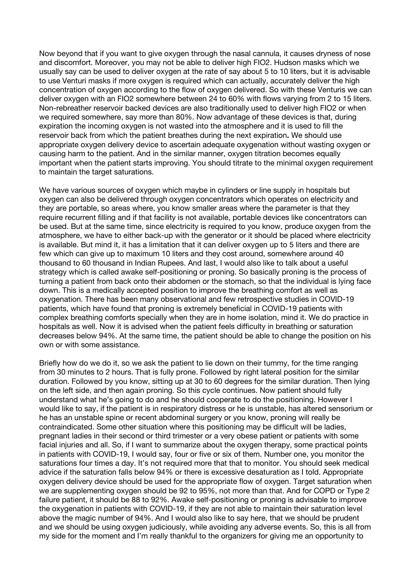Now beyond that if you want to give oxygen through the nasal cannula, it causes dryness of nose and discomfort. Moreover, you may not be able to deliver high FIO2. Hudson masks which we usually say can be used to deliver oxygen at the rate of say about 5 to 10 liters, but it is advisable to use Venturi masks if more oxygen is required which can actually, accurately deliver the high concentration of oxygen according to the flow of oxygen delivered. So with these Venturis we can deliver oxygen with an FIO2 somewhere between 24 to 60% with flows varying from 2 to 15 liters. Non-rebreather reservoir backed devices are also traditionally used to deliver high FIO2 or when we required somewhere, say more than 80%. Now advantage of these devices is that, during expiration the incoming oxygen is not wasted into the atmosphere and it is used to fill the reservoir back from which the patient breathes during the next expiration**.** We should use appropriate oxygen delivery device to ascertain adequate oxygenation without wasting oxygen or causing harm to the patient. And in the similar manner, oxygen titration becomes equally important when the patient starts improving. You should titrate to the minimal oxygen requirement to maintain the target saturations.

We have various sources of oxygen which maybe in cylinders or line supply in hospitals but oxygen can also be delivered through oxygen concentrators which operates on electricity and they are portable, so areas where, you know smaller areas where the parameter is that they require recurrent filling and if that facility is not available, portable devices like concentrators can be used. But at the same time, since electricity is required to you know, produce oxygen from the atmosphere, we have to either back-up with the generator or it should be placed where electricity is available. But mind it, it has a limitation that it can deliver oxygen up to 5 liters and there are few which can give up to maximum 10 liters and they cost around, somewhere around 40 thousand to 60 thousand in Indian Rupees. And last, I would also like to talk about a useful strategy which is called awake self-positioning or proning. So basically proning is the process of turning a patient from back onto their abdomen or the stomach, so that the individual is lying face down. This is a medically accepted position to improve the breathing comfort as well as oxygenation. There has been many observational and few retrospective studies in COVID-19 patients, which have found that proning is extremely beneficial in COVID-19 patients with complex breathing comforts specially when they are in home isolation, mind it. We do practice in hospitals as well. Now it is advised when the patient feels difficulty in breathing or saturation decreases below 94%. At the same time, the patient should be able to change the position on his own or with some assistance.

Briefly how do we do it, so we ask the patient to lie down on their tummy, for the time ranging from 30 minutes to 2 hours. That is fully prone. Followed by right lateral position for the similar duration. Followed by you know, sitting up at 30 to 60 degrees for the similar duration. Then lying on the left side, and then again proning. So this cycle continues. Now patient should fully understand what he's going to do and he should cooperate to do the positioning. However I would like to say, if the patient is in respiratory distress or he is unstable, has altered sensorium or he has an unstable spine or recent abdominal surgery or you know, proning will really be contraindicated. Some other situation where this positioning may be difficult will be ladies, pregnant ladies in their second or third trimester or a very obese patient or patients with some facial injuries and all. So, if I want to summarize about the oxygen therapy, some practical points in patients with COVID-19, I would say, four or five or six of them. Number one, you monitor the saturations four times a day. It's not required more that that to monitor. You should seek medical advice if the saturation falls below 94% or there is excessive desaturation as I told. Appropriate oxygen delivery device should be used for the appropriate flow of oxygen. Target saturation when we are supplementing oxygen should be 92 to 95%, not more than that. And for COPD or Type 2 failure patient, it should be 88 to 92%. Awake self-positioning or proning is advisable to improve the oxygenation in patients with COVID-19, if they are not able to maintain their saturation level above the magic number of 94%. And I would also like to say here, that we should be prudent and we should be using oxygen judiciously, while avoiding any adverse events. So, this is all from my side for the moment and I'm really thankful to the organizers for giving me an opportunity to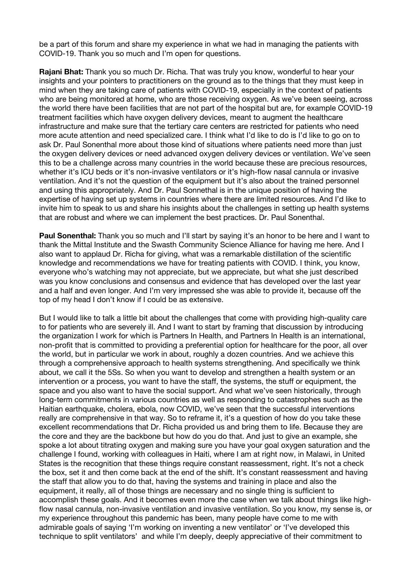be a part of this forum and share my experience in what we had in managing the patients with COVID-19. Thank you so much and I'm open for questions.

**Rajani Bhat:** Thank you so much Dr. Richa. That was truly you know, wonderful to hear your insights and your pointers to practitioners on the ground as to the things that they must keep in mind when they are taking care of patients with COVID-19, especially in the context of patients who are being monitored at home, who are those receiving oxygen. As we've been seeing, across the world there have been facilities that are not part of the hospital but are, for example COVID-19 treatment facilities which have oxygen delivery devices, meant to augment the healthcare infrastructure and make sure that the tertiary care centers are restricted for patients who need more acute attention and need specialized care. I think what I'd like to do is I'd like to go on to ask Dr. Paul Sonenthal more about those kind of situations where patients need more than just the oxygen delivery devices or need advanced oxygen delivery devices or ventilation. We've seen this to be a challenge across many countries in the world because these are precious resources, whether it's ICU beds or it's non-invasive ventilators or it's high-flow nasal cannula or invasive ventilation. And it's not the question of the equipment but it's also about the trained personnel and using this appropriately. And Dr. Paul Sonnethal is in the unique position of having the expertise of having set up systems in countries where there are limited resources. And I'd like to invite him to speak to us and share his insights about the challenges in setting up health systems that are robust and where we can implement the best practices. Dr. Paul Sonenthal.

**Paul Sonenthal:** Thank you so much and I'll start by saying it's an honor to be here and I want to thank the Mittal Institute and the Swasth Community Science Alliance for having me here. And I also want to applaud Dr. Richa for giving, what was a remarkable distillation of the scientific knowledge and recommendations we have for treating patients with COVID. I think, you know, everyone who's watching may not appreciate, but we appreciate, but what she just described was you know conclusions and consensus and evidence that has developed over the last year and a half and even longer. And I'm very impressed she was able to provide it, because off the top of my head I don't know if I could be as extensive.

But I would like to talk a little bit about the challenges that come with providing high-quality care to for patients who are severely ill. And I want to start by framing that discussion by introducing the organization I work for which is Partners In Health, and Partners In Health is an international, non-profit that is committed to providing a preferential option for healthcare for the poor, all over the world, but in particular we work in about, roughly a dozen countries. And we achieve this through a comprehensive approach to health systems strengthening. And specifically we think about, we call it the 5Ss. So when you want to develop and strengthen a health system or an intervention or a process, you want to have the staff, the systems, the stuff or equipment, the space and you also want to have the social support. And what we've seen historically, through long-term commitments in various countries as well as responding to catastrophes such as the Haitian earthquake, cholera, ebola, now COVID, we've seen that the successful interventions really are comprehensive in that way. So to reframe it, it's a question of how do you take these excellent recommendations that Dr. Richa provided us and bring them to life. Because they are the core and they are the backbone but how do you do that. And just to give an example, she spoke a lot about titrating oxygen and making sure you have your goal oxygen saturation and the challenge I found, working with colleagues in Haiti, where I am at right now, in Malawi, in United States is the recognition that these things require constant reassessment, right. It's not a check the box, set it and then come back at the end of the shift. It's constant reassessment and having the staff that allow you to do that, having the systems and training in place and also the equipment, it really, all of those things are necessary and no single thing is sufficient to accomplish these goals. And it becomes even more the case when we talk about things like highflow nasal cannula, non-invasive ventilation and invasive ventilation. So you know, my sense is, or my experience throughout this pandemic has been, many people have come to me with admirable goals of saying 'I'm working on inventing a new ventilator' or 'I've developed this technique to split ventilators' and while I'm deeply, deeply appreciative of their commitment to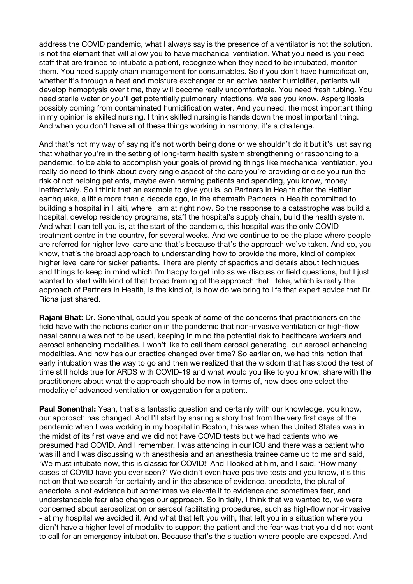address the COVID pandemic, what I always say is the presence of a ventilator is not the solution, is not the element that will allow you to have mechanical ventilation. What you need is you need staff that are trained to intubate a patient, recognize when they need to be intubated, monitor them. You need supply chain management for consumables. So if you don't have humidification, whether it's through a heat and moisture exchanger or an active heater humidifier, patients will develop hemoptysis over time, they will become really uncomfortable. You need fresh tubing. You need sterile water or you'll get potentially pulmonary infections. We see you know, Aspergillosis possibly coming from contaminated humidification water. And you need, the most important thing in my opinion is skilled nursing. I think skilled nursing is hands down the most important thing. And when you don't have all of these things working in harmony, it's a challenge.

And that's not my way of saying it's not worth being done or we shouldn't do it but it's just saying that whether you're in the setting of long-term health system strengthening or responding to a pandemic, to be able to accomplish your goals of providing things like mechanical ventilation, you really do need to think about every single aspect of the care you're providing or else you run the risk of not helping patients, maybe even harming patients and spending, you know, money ineffectively. So I think that an example to give you is, so Partners In Health after the Haitian earthquake, a little more than a decade ago, in the aftermath Partners In Health committed to building a hospital in Haiti, where I am at right now. So the response to a catastrophe was build a hospital, develop residency programs, staff the hospital's supply chain, build the health system. And what I can tell you is, at the start of the pandemic, this hospital was the only COVID treatment centre in the country, for several weeks. And we continue to be the place where people are referred for higher level care and that's because that's the approach we've taken. And so, you know, that's the broad approach to understanding how to provide the more, kind of complex higher level care for sicker patients. There are plenty of specifics and details about techniques and things to keep in mind which I'm happy to get into as we discuss or field questions, but I just wanted to start with kind of that broad framing of the approach that I take, which is really the approach of Partners In Health, is the kind of, is how do we bring to life that expert advice that Dr. Richa just shared.

**Rajani Bhat:** Dr. Sonenthal, could you speak of some of the concerns that practitioners on the field have with the notions earlier on in the pandemic that non-invasive ventilation or high-flow nasal cannula was not to be used, keeping in mind the potential risk to healthcare workers and aerosol enhancing modalities. I won't like to call them aerosol generating, but aerosol enhancing modalities. And how has our practice changed over time? So earlier on, we had this notion that early intubation was the way to go and then we realized that the wisdom that has stood the test of time still holds true for ARDS with COVID-19 and what would you like to you know, share with the practitioners about what the approach should be now in terms of, how does one select the modality of advanced ventilation or oxygenation for a patient.

**Paul Sonenthal:** Yeah, that's a fantastic question and certainly with our knowledge, you know, our approach has changed. And I'll start by sharing a story that from the very first days of the pandemic when I was working in my hospital in Boston, this was when the United States was in the midst of its first wave and we did not have COVID tests but we had patients who we presumed had COVID. And I remember, I was attending in our ICU and there was a patient who was ill and I was discussing with anesthesia and an anesthesia trainee came up to me and said, 'We must intubate now, this is classic for COVID!' And I looked at him, and I said, 'How many cases of COVID have you ever seen?' We didn't even have positive tests and you know, it's this notion that we search for certainty and in the absence of evidence, anecdote, the plural of anecdote is not evidence but sometimes we elevate it to evidence and sometimes fear, and understandable fear also changes our approach. So initially, I think that we wanted to, we were concerned about aerosolization or aerosol facilitating procedures, such as high-flow non-invasive - at my hospital we avoided it. And what that left you with, that left you in a situation where you didn't have a higher level of modality to support the patient and the fear was that you did not want to call for an emergency intubation. Because that's the situation where people are exposed. And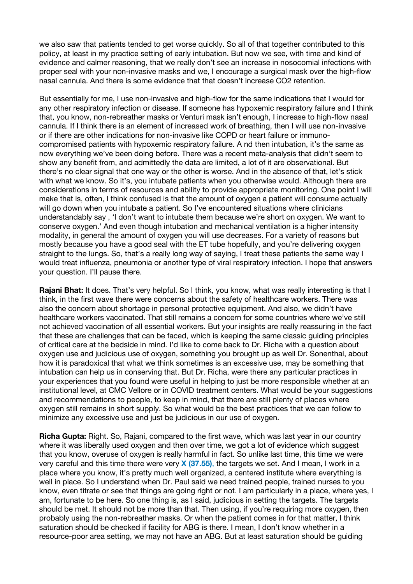we also saw that patients tended to get worse quickly. So all of that together contributed to this policy, at least in my practice setting of early intubation. But now we see, with time and kind of evidence and calmer reasoning, that we really don't see an increase in nosocomial infections with proper seal with your non-invasive masks and we, I encourage a surgical mask over the high-flow nasal cannula. And there is some evidence that that doesn't increase CO2 retention.

But essentially for me, I use non-invasive and high-flow for the same indications that I would for any other respiratory infection or disease. If someone has hypoxemic respiratory failure and I think that, you know, non-rebreather masks or Venturi mask isn't enough, I increase to high-flow nasal cannula. If I think there is an element of increased work of breathing, then I will use non-invasive or if there are other indications for non-invasive like COPD or heart failure or immunocompromised patients with hypoxemic respiratory failure. A nd then intubation, it's the same as now everything we've been doing before. There was a recent meta-analysis that didn't seem to show any benefit from, and admittedly the data are limited, a lot of it are observational. But there's no clear signal that one way or the other is worse. And in the absence of that, let's stick with what we know. So it's, you intubate patients when you otherwise would. Although there are considerations in terms of resources and ability to provide appropriate monitoring. One point I will make that is, often, I think confused is that the amount of oxygen a patient will consume actually will go down when you intubate a patient. So I've encountered situations where clinicians understandably say , 'I don't want to intubate them because we're short on oxygen. We want to conserve oxygen.' And even though intubation and mechanical ventilation is a higher intensity modality, in general the amount of oxygen you will use decreases. For a variety of reasons but mostly because you have a good seal with the ET tube hopefully, and you're delivering oxygen straight to the lungs. So, that's a really long way of saying, I treat these patients the same way I would treat influenza, pneumonia or another type of viral respiratory infection. I hope that answers your question. I'll pause there.

**Rajani Bhat:** It does. That's very helpful. So I think, you know, what was really interesting is that I think, in the first wave there were concerns about the safety of healthcare workers. There was also the concern about shortage in personal protective equipment. And also, we didn't have healthcare workers vaccinated. That still remains a concern for some countries where we've still not achieved vaccination of all essential workers. But your insights are really reassuring in the fact that these are challenges that can be faced, which is keeping the same classic guiding principles of critical care at the bedside in mind. I'd like to come back to Dr. Richa with a question about oxygen use and judicious use of oxygen, something you brought up as well Dr. Sonenthal, about how it is paradoxical that what we think sometimes is an excessive use, may be something that intubation can help us in conserving that. But Dr. Richa, were there any particular practices in your experiences that you found were useful in helping to just be more responsible whether at an institutional level, at CMC Vellore or in COVID treatment centers. What would be your suggestions and recommendations to people, to keep in mind, that there are still plenty of places where oxygen still remains in short supply. So what would be the best practices that we can follow to minimize any excessive use and just be judicious in our use of oxygen.

**Richa Gupta:** Right. So, Rajani, compared to the first wave, which was last year in our country where it was liberally used oxygen and then over time, we got a lot of evidence which suggest that you know, overuse of oxygen is really harmful in fact. So unlike last time, this time we were very careful and this time there were very **X (37.55)**, the targets we set. And I mean, I work in a place where you know, it's pretty much well organized, a centered institute where everything is well in place. So I understand when Dr. Paul said we need trained people, trained nurses to you know, even titrate or see that things are going right or not. I am particularly in a place, where yes, I am, fortunate to be here. So one thing is, as I said, judicious in setting the targets. The targets should be met. It should not be more than that. Then using, if you're requiring more oxygen, then probably using the non-rebreather masks. Or when the patient comes in for that matter, I think saturation should be checked if facility for ABG is there. I mean, I don't know whether in a resource-poor area setting, we may not have an ABG. But at least saturation should be guiding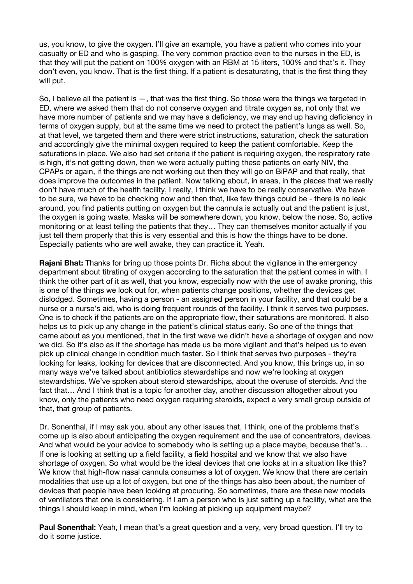us, you know, to give the oxygen. I'll give an example, you have a patient who comes into your casualty or ED and who is gasping. The very common practice even to the nurses in the ED, is that they will put the patient on 100% oxygen with an RBM at 15 liters, 100% and that's it. They don't even, you know. That is the first thing. If a patient is desaturating, that is the first thing they will put.

So, I believe all the patient is —, that was the first thing. So those were the things we targeted in ED, where we asked them that do not conserve oxygen and titrate oxygen as, not only that we have more number of patients and we may have a deficiency, we may end up having deficiency in terms of oxygen supply, but at the same time we need to protect the patient's lungs as well. So, at that level, we targeted them and there were strict instructions, saturation, check the saturation and accordingly give the minimal oxygen required to keep the patient comfortable. Keep the saturations in place. We also had set criteria if the patient is requiring oxygen, the respiratory rate is high, it's not getting down, then we were actually putting these patients on early NIV, the CPAPs or again, if the things are not working out then they will go on BiPAP and that really, that does improve the outcomes in the patient. Now talking about, in areas, in the places that we really don't have much of the health facility, I really, I think we have to be really conservative. We have to be sure, we have to be checking now and then that, like few things could be - there is no leak around, you find patients putting on oxygen but the cannula is actually out and the patient is just, the oxygen is going waste. Masks will be somewhere down, you know, below the nose. So, active monitoring or at least telling the patients that they… They can themselves monitor actually if you just tell them properly that this is very essential and this is how the things have to be done. Especially patients who are well awake, they can practice it. Yeah.

**Rajani Bhat:** Thanks for bring up those points Dr. Richa about the vigilance in the emergency department about titrating of oxygen according to the saturation that the patient comes in with. I think the other part of it as well, that you know, especially now with the use of awake proning, this is one of the things we look out for, when patients change positions, whether the devices get dislodged. Sometimes, having a person - an assigned person in your facility, and that could be a nurse or a nurse's aid, who is doing frequent rounds of the facility. I think it serves two purposes. One is to check if the patients are on the appropriate flow, their saturations are monitored. It also helps us to pick up any change in the patient's clinical status early. So one of the things that came about as you mentioned, that in the first wave we didn't have a shortage of oxygen and now we did. So it's also as if the shortage has made us be more vigilant and that's helped us to even pick up clinical change in condition much faster. So I think that serves two purposes - they're looking for leaks, looking for devices that are disconnected. And you know, this brings up, in so many ways we've talked about antibiotics stewardships and now we're looking at oxygen stewardships. We've spoken about steroid stewardships, about the overuse of steroids. And the fact that… And I think that is a topic for another day, another discussion altogether about you know, only the patients who need oxygen requiring steroids, expect a very small group outside of that, that group of patients.

Dr. Sonenthal, if I may ask you, about any other issues that, I think, one of the problems that's come up is also about anticipating the oxygen requirement and the use of concentrators, devices. And what would be your advice to somebody who is setting up a place maybe, because that's… If one is looking at setting up a field facility, a field hospital and we know that we also have shortage of oxygen. So what would be the ideal devices that one looks at in a situation like this? We know that high-flow nasal cannula consumes a lot of oxygen. We know that there are certain modalities that use up a lot of oxygen, but one of the things has also been about, the number of devices that people have been looking at procuring. So sometimes, there are these new models of ventilators that one is considering. If I am a person who is just setting up a facility, what are the things I should keep in mind, when I'm looking at picking up equipment maybe?

**Paul Sonenthal:** Yeah, I mean that's a great question and a very, very broad question. I'll try to do it some justice.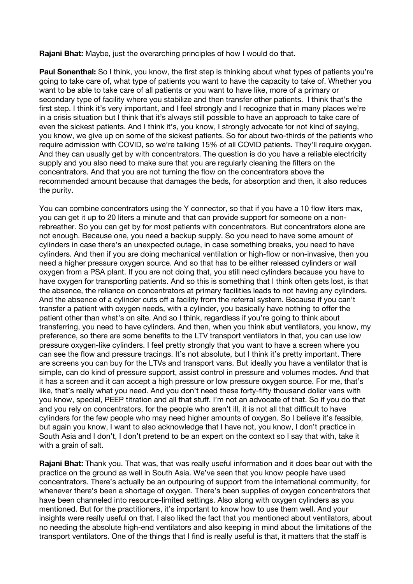**Rajani Bhat:** Maybe, just the overarching principles of how I would do that.

**Paul Sonenthal:** So I think, you know, the first step is thinking about what types of patients you're going to take care of, what type of patients you want to have the capacity to take of. Whether you want to be able to take care of all patients or you want to have like, more of a primary or secondary type of facility where you stabilize and then transfer other patients. I think that's the first step. I think it's very important, and I feel strongly and I recognize that in many places we're in a crisis situation but I think that it's always still possible to have an approach to take care of even the sickest patients. And I think it's, you know, I strongly advocate for not kind of saying, you know, we give up on some of the sickest patients. So for about two-thirds of the patients who require admission with COVID, so we're talking 15% of all COVID patients. They'll require oxygen. And they can usually get by with concentrators. The question is do you have a reliable electricity supply and you also need to make sure that you are regularly cleaning the filters on the concentrators. And that you are not turning the flow on the concentrators above the recommended amount because that damages the beds, for absorption and then, it also reduces the purity.

You can combine concentrators using the Y connector, so that if you have a 10 flow liters max, you can get it up to 20 liters a minute and that can provide support for someone on a nonrebreather. So you can get by for most patients with concentrators. But concentrators alone are not enough. Because one, you need a backup supply. So you need to have some amount of cylinders in case there's an unexpected outage, in case something breaks, you need to have cylinders. And then if you are doing mechanical ventilation or high-flow or non-invasive, then you need a higher pressure oxygen source. And so that has to be either released cylinders or wall oxygen from a PSA plant. If you are not doing that, you still need cylinders because you have to have oxygen for transporting patients. And so this is something that I think often gets lost, is that the absence, the reliance on concentrators at primary facilities leads to not having any cylinders. And the absence of a cylinder cuts off a facility from the referral system. Because if you can't transfer a patient with oxygen needs, with a cylinder, you basically have nothing to offer the patient other than what's on site. And so I think, regardless if you're going to think about transferring, you need to have cylinders. And then, when you think abut ventilators, you know, my preference, so there are some benefits to the LTV transport ventilators in that, you can use low pressure oxygen-like cylinders. I feel pretty strongly that you want to have a screen where you can see the flow and pressure tracings. It's not absolute, but I think it's pretty important. There are screens you can buy for the LTVs and transport vans. But ideally you have a ventilator that is simple, can do kind of pressure support, assist control in pressure and volumes modes. And that it has a screen and it can accept a high pressure or low pressure oxygen source. For me, that's like, that's really what you need. And you don't need these forty-fifty thousand dollar vans with you know, special, PEEP titration and all that stuff. I'm not an advocate of that. So if you do that and you rely on concentrators, for the people who aren't ill, it is not all that difficult to have cylinders for the few people who may need higher amounts of oxygen. So I believe it's feasible, but again you know, I want to also acknowledge that I have not, you know, I don't practice in South Asia and I don't, I don't pretend to be an expert on the context so I say that with, take it with a grain of salt.

**Rajani Bhat:** Thank you. That was, that was really useful information and it does bear out with the practice on the ground as well in South Asia. We've seen that you know people have used concentrators. There's actually be an outpouring of support from the international community, for whenever there's been a shortage of oxygen. There's been supplies of oxygen concentrators that have been channeled into resource-limited settings. Also along with oxygen cylinders as you mentioned. But for the practitioners, it's important to know how to use them well. And your insights were really useful on that. I also liked the fact that you mentioned about ventilators, about no needing the absolute high-end ventilators and also keeping in mind about the limitations of the transport ventilators. One of the things that I find is really useful is that, it matters that the staff is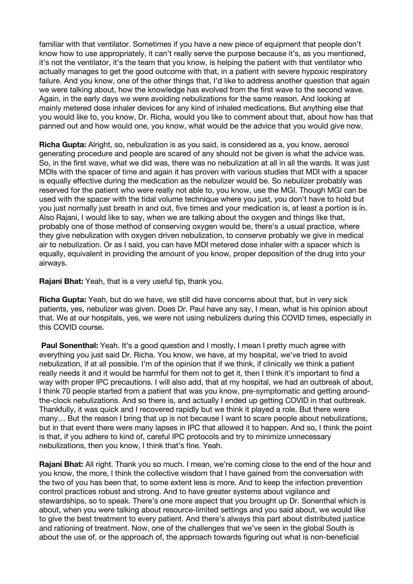familiar with that ventilator. Sometimes if you have a new piece of equipment that people don't know how to use appropriately, it can't really serve the purpose because it's, as you mentioned, it's not the ventilator, it's the team that you know, is helping the patient with that ventilator who actually manages to get the good outcome with that, in a patient with severe hypoxic respiratory failure. And you know, one of the other things that, I'd like to address another question that again we were talking about, how the knowledge has evolved from the first wave to the second wave. Again, in the early days we were avoiding nebulizations for the same reason. And looking at mainly metered dose inhaler devices for any kind of inhaled medications. But anything else that you would like to, you know, Dr. Richa, would you like to comment about that, about how has that panned out and how would one, you know, what would be the advice that you would give now.

**Richa Gupta:** Alright, so, nebulization is as you said, is considered as a, you know, aerosol generating procedure and people are scared of any should not be given is what the advice was. So, in the first wave, what we did was, there was no nebulization at all in all the wards. It was just MDIs with the spacer of time and again it has proven with various studies that MDI with a spacer is equally effective during the medication as the nebulizer would be. So nebulizer probably was reserved for the patient who were really not able to, you know, use the MGI. Though MGI can be used with the spacer with the tidal volume technique where you just, you don't have to hold but you just normally just breath in and out, five times and your medication is, at least a portion is in. Also Rajani, I would like to say, when we are talking about the oxygen and things like that, probably one of those method of conserving oxygen would be, there's a usual practice, where they give nebulization with oxygen driven nebulization, to conserve probably we give in medical air to nebulization. Or as I said, you can have MDI metered dose inhaler with a spacer which is equally, equivalent in providing the amount of you know, proper deposition of the drug into your airways.

**Rajani Bhat:** Yeah, that is a very useful tip, thank you.

**Richa Gupta:** Yeah, but do we have, we still did have concerns about that, but in very sick patients, yes, nebulizer was given. Does Dr. Paul have any say, I mean, what is his opinion about that. We at our hospitals, yes, we were not using nebulizers during this COVID times, especially in this COVID course**.**

Paul Sonenthal: Yeah. It's a good question and I mostly, I mean I pretty much agree with everything you just said Dr. Richa. You know, we have, at my hospital, we've tried to avoid nebulization, if at all possible. I'm of the opinion that if we think, if clinically we think a patient really needs it and it would be harmful for them not to get it, then I think it's important to find a way with proper IPC precautions. I will also add, that at my hospital, we had an outbreak of about, I think 70 people started from a patient that was you know, pre-symptomatic and getting aroundthe-clock nebulizations. And so there is, and actually I ended up getting COVID in that outbreak. Thankfully, it was quick and I recovered rapidly but we think it played a role. But there were many… But the reason I bring that up is not because I want to scare people about nebulizations, but in that event there were many lapses in IPC that allowed it to happen. And so, I think the point is that, if you adhere to kind of, careful IPC protocols and try to minimize unnecessary nebulizations, then you know, I think that's fine. Yeah.

**Rajani Bhat:** All right. Thank you so much. I mean, we're coming close to the end of the hour and you know, the more, I think the collective wisdom that I have gained from the conversation with the two of you has been that, to some extent less is more. And to keep the infection prevention control practices robust and strong. And to have greater systems about vigilance and stewardships, so to speak. There's one more aspect that you brought up Dr. Sonenthal which is about, when you were talking about resource-limited settings and you said about, we would like to give the best treatment to every patient. And there's always this part about distributed justice and rationing of treatment. Now, one of the challenges that we've seen in the global South is about the use of, or the approach of, the approach towards figuring out what is non-beneficial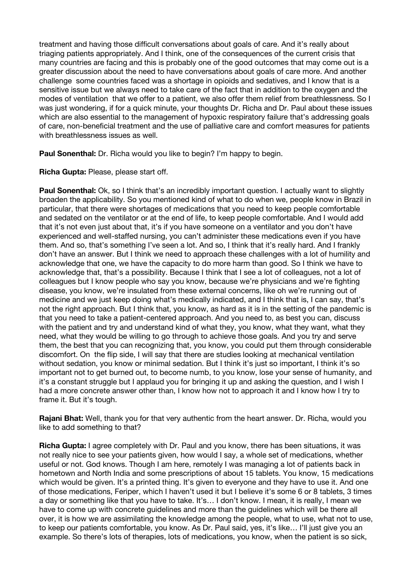treatment and having those difficult conversations about goals of care. And it's really about triaging patients appropriately. And I think, one of the consequences of the current crisis that many countries are facing and this is probably one of the good outcomes that may come out is a greater discussion about the need to have conversations about goals of care more. And another challenge some countries faced was a shortage in opioids and sedatives, and I know that is a sensitive issue but we always need to take care of the fact that in addition to the oxygen and the modes of ventilation that we offer to a patient, we also offer them relief from breathlessness. So I was just wondering, if for a quick minute, your thoughts Dr. Richa and Dr. Paul about these issues which are also essential to the management of hypoxic respiratory failure that's addressing goals of care, non-beneficial treatment and the use of palliative care and comfort measures for patients with breathlessness issues as well.

**Paul Sonenthal:** Dr. Richa would you like to begin? I'm happy to begin.

**Richa Gupta:** Please, please start off.

**Paul Sonenthal:** Ok, so I think that's an incredibly important question. I actually want to slightly broaden the applicability. So you mentioned kind of what to do when we, people know in Brazil in particular, that there were shortages of medications that you need to keep people comfortable and sedated on the ventilator or at the end of life, to keep people comfortable. And I would add that it's not even just about that, it's if you have someone on a ventilator and you don't have experienced and well-staffed nursing, you can't administer these medications even if you have them. And so, that's something I've seen a lot. And so, I think that it's really hard. And I frankly don't have an answer. But I think we need to approach these challenges with a lot of humility and acknowledge that one, we have the capacity to do more harm than good. So I think we have to acknowledge that, that's a possibility. Because I think that I see a lot of colleagues, not a lot of colleagues but I know people who say you know, because we're physicians and we're fighting disease, you know, we're insulated from these external concerns, like oh we're running out of medicine and we just keep doing what's medically indicated, and I think that is, I can say, that's not the right approach. But I think that, you know, as hard as it is in the setting of the pandemic is that you need to take a patient-centered approach. And you need to, as best you can, discuss with the patient and try and understand kind of what they, you know, what they want, what they need, what they would be willing to go through to achieve those goals. And you try and serve them, the best that you can recognizing that, you know, you could put them through considerable discomfort. On the flip side, I will say that there are studies looking at mechanical ventilation without sedation, you know or minimal sedation. But I think it's just so important, I think it's so important not to get burned out, to become numb, to you know, lose your sense of humanity, and it's a constant struggle but I applaud you for bringing it up and asking the question, and I wish I had a more concrete answer other than, I know how not to approach it and I know how I try to frame it. But it's tough.

**Rajani Bhat:** Well, thank you for that very authentic from the heart answer. Dr. Richa, would you like to add something to that?

**Richa Gupta:** I agree completely with Dr. Paul and you know, there has been situations, it was not really nice to see your patients given, how would I say, a whole set of medications, whether useful or not. God knows. Though I am here, remotely I was managing a lot of patients back in hometown and North India and some prescriptions of about 15 tablets. You know, 15 medications which would be given. It's a printed thing. It's given to everyone and they have to use it. And one of those medications, Feriper, which I haven't used it but I believe it's some 6 or 8 tablets, 3 times a day or something like that you have to take. It's… I don't know. I mean, it is really, I mean we have to come up with concrete guidelines and more than the guidelines which will be there all over, it is how we are assimilating the knowledge among the people, what to use, what not to use, to keep our patients comfortable, you know. As Dr. Paul said, yes, it's like… I'll just give you an example. So there's lots of therapies, lots of medications, you know, when the patient is so sick,